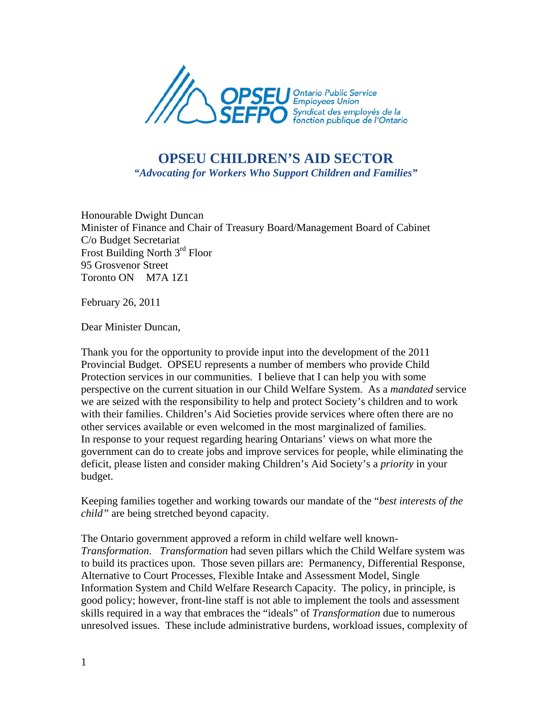

## **OPSEU CHILDREN'S AID SECTOR**  *"Advocating for Workers Who Support Children and Families"*

Honourable Dwight Duncan Minister of Finance and Chair of Treasury Board/Management Board of Cabinet C/o Budget Secretariat Frost Building North 3<sup>rd</sup> Floor 95 Grosvenor Street Toronto ON M7A 1Z1

February 26, 2011

Dear Minister Duncan,

Thank you for the opportunity to provide input into the development of the 2011 Provincial Budget. OPSEU represents a number of members who provide Child Protection services in our communities. I believe that I can help you with some perspective on the current situation in our Child Welfare System. As a *mandated* service we are seized with the responsibility to help and protect Society's children and to work with their families. Children's Aid Societies provide services where often there are no other services available or even welcomed in the most marginalized of families. In response to your request regarding hearing Ontarians' views on what more the government can do to create jobs and improve services for people, while eliminating the deficit, please listen and consider making Children's Aid Society's a *priority* in your budget.

Keeping families together and working towards our mandate of the "*best interests of the child"* are being stretched beyond capacity.

The Ontario government approved a reform in child welfare well known-*Transformation*. *Transformation* had seven pillars which the Child Welfare system was to build its practices upon. Those seven pillars are: Permanency, Differential Response, Alternative to Court Processes, Flexible Intake and Assessment Model, Single Information System and Child Welfare Research Capacity. The policy, in principle, is good policy; however, front-line staff is not able to implement the tools and assessment skills required in a way that embraces the "ideals" of *Transformation* due to numerous unresolved issues. These include administrative burdens, workload issues, complexity of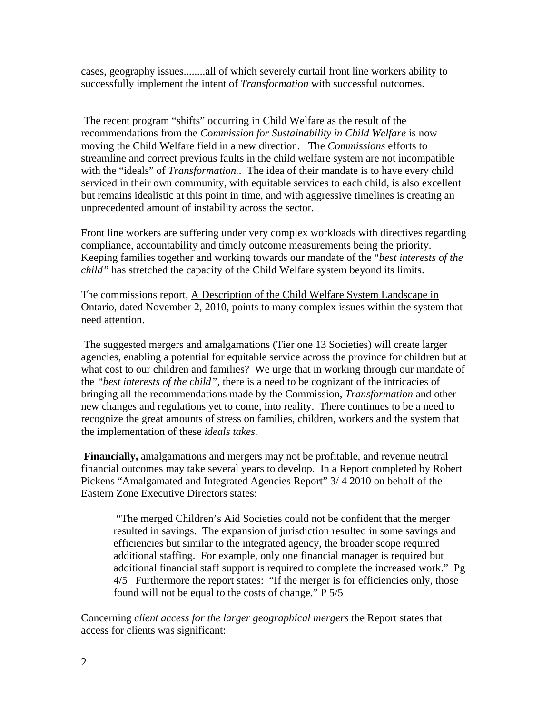cases, geography issues........all of which severely curtail front line workers ability to successfully implement the intent of *Transformation* with successful outcomes.

 The recent program "shifts" occurring in Child Welfare as the result of the recommendations from the *Commission for Sustainability in Child Welfare* is now moving the Child Welfare field in a new direction. The *Commissions* efforts to streamline and correct previous faults in the child welfare system are not incompatible with the "ideals" of *Transformation.*. The idea of their mandate is to have every child serviced in their own community, with equitable services to each child, is also excellent but remains idealistic at this point in time, and with aggressive timelines is creating an unprecedented amount of instability across the sector.

Front line workers are suffering under very complex workloads with directives regarding compliance, accountability and timely outcome measurements being the priority. Keeping families together and working towards our mandate of the "*best interests of the child"* has stretched the capacity of the Child Welfare system beyond its limits.

The commissions report, A Description of the Child Welfare System Landscape in Ontario, dated November 2, 2010, points to many complex issues within the system that need attention.

 The suggested mergers and amalgamations (Tier one 13 Societies) will create larger agencies, enabling a potential for equitable service across the province for children but at what cost to our children and families? We urge that in working through our mandate of the *"best interests of the child",* there is a need to be cognizant of the intricacies of bringing all the recommendations made by the Commission, *Transformation* and other new changes and regulations yet to come, into reality. There continues to be a need to recognize the great amounts of stress on families, children, workers and the system that the implementation of these *ideals takes.*

**Financially,** amalgamations and mergers may not be profitable, and revenue neutral financial outcomes may take several years to develop. In a Report completed by Robert Pickens "Amalgamated and Integrated Agencies Report" 3/ 4 2010 on behalf of the Eastern Zone Executive Directors states:

 "The merged Children's Aid Societies could not be confident that the merger resulted in savings. The expansion of jurisdiction resulted in some savings and efficiencies but similar to the integrated agency, the broader scope required additional staffing. For example, only one financial manager is required but additional financial staff support is required to complete the increased work." Pg 4/5 Furthermore the report states: "If the merger is for efficiencies only, those found will not be equal to the costs of change." P 5/5

Concerning *client access for the larger geographical mergers* the Report states that access for clients was significant: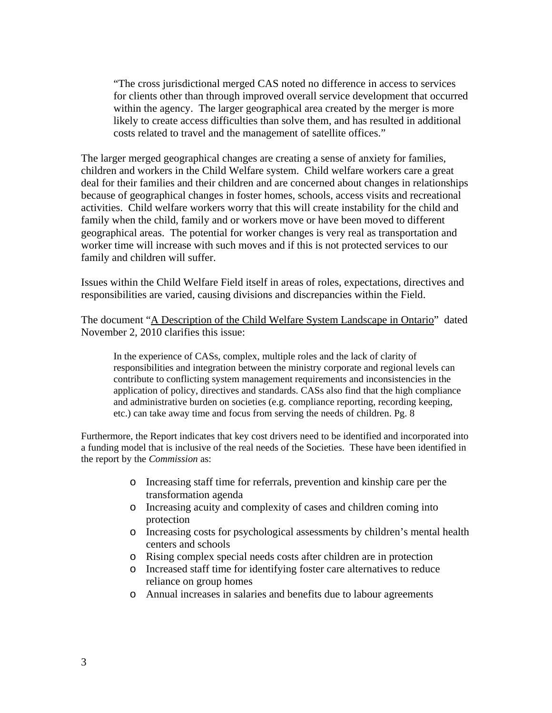"The cross jurisdictional merged CAS noted no difference in access to services for clients other than through improved overall service development that occurred within the agency. The larger geographical area created by the merger is more likely to create access difficulties than solve them, and has resulted in additional costs related to travel and the management of satellite offices."

The larger merged geographical changes are creating a sense of anxiety for families, children and workers in the Child Welfare system. Child welfare workers care a great deal for their families and their children and are concerned about changes in relationships because of geographical changes in foster homes, schools, access visits and recreational activities. Child welfare workers worry that this will create instability for the child and family when the child, family and or workers move or have been moved to different geographical areas. The potential for worker changes is very real as transportation and worker time will increase with such moves and if this is not protected services to our family and children will suffer.

Issues within the Child Welfare Field itself in areas of roles, expectations, directives and responsibilities are varied, causing divisions and discrepancies within the Field.

The document "A Description of the Child Welfare System Landscape in Ontario" dated November 2, 2010 clarifies this issue:

In the experience of CASs, complex, multiple roles and the lack of clarity of responsibilities and integration between the ministry corporate and regional levels can contribute to conflicting system management requirements and inconsistencies in the application of policy, directives and standards. CASs also find that the high compliance and administrative burden on societies (e.g. compliance reporting, recording keeping, etc.) can take away time and focus from serving the needs of children. Pg. 8

Furthermore, the Report indicates that key cost drivers need to be identified and incorporated into a funding model that is inclusive of the real needs of the Societies. These have been identified in the report by the *Commission* as:

- o Increasing staff time for referrals, prevention and kinship care per the transformation agenda
- o Increasing acuity and complexity of cases and children coming into protection
- o Increasing costs for psychological assessments by children's mental health centers and schools
- o Rising complex special needs costs after children are in protection
- o Increased staff time for identifying foster care alternatives to reduce reliance on group homes
- o Annual increases in salaries and benefits due to labour agreements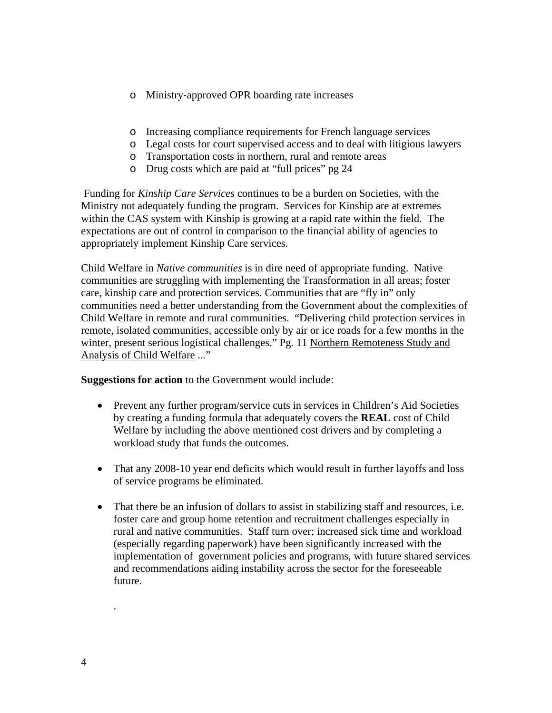- o Ministry‐approved OPR boarding rate increases
- o Increasing compliance requirements for French language services
- o Legal costs for court supervised access and to deal with litigious lawyers
- o Transportation costs in northern, rural and remote areas
- o Drug costs which are paid at "full prices" pg 24

 Funding for *Kinship Care Services* continues to be a burden on Societies, with the Ministry not adequately funding the program. Services for Kinship are at extremes within the CAS system with Kinship is growing at a rapid rate within the field. The expectations are out of control in comparison to the financial ability of agencies to appropriately implement Kinship Care services.

Child Welfare in *Native communities* is in dire need of appropriate funding. Native communities are struggling with implementing the Transformation in all areas; foster care, kinship care and protection services. Communities that are "fly in" only communities need a better understanding from the Government about the complexities of Child Welfare in remote and rural communities. "Delivering child protection services in remote, isolated communities, accessible only by air or ice roads for a few months in the winter, present serious logistical challenges." Pg. 11 Northern Remoteness Study and Analysis of Child Welfare ..."

**Suggestions for action** to the Government would include:

- Prevent any further program/service cuts in services in Children's Aid Societies by creating a funding formula that adequately covers the **REAL** cost of Child Welfare by including the above mentioned cost drivers and by completing a workload study that funds the outcomes.
- That any 2008-10 year end deficits which would result in further layoffs and loss of service programs be eliminated.
- That there be an infusion of dollars to assist in stabilizing staff and resources, i.e. foster care and group home retention and recruitment challenges especially in rural and native communities. Staff turn over; increased sick time and workload (especially regarding paperwork) have been significantly increased with the implementation of government policies and programs, with future shared services and recommendations aiding instability across the sector for the foreseeable future.

.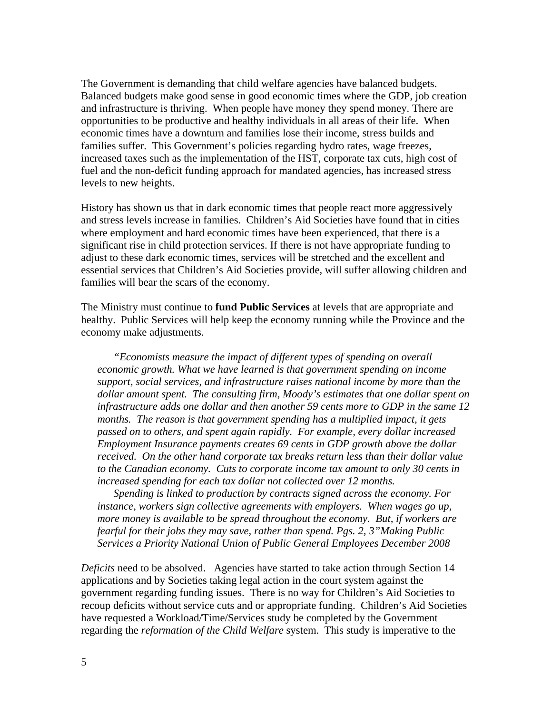The Government is demanding that child welfare agencies have balanced budgets. Balanced budgets make good sense in good economic times where the GDP, job creation and infrastructure is thriving. When people have money they spend money. There are opportunities to be productive and healthy individuals in all areas of their life. When economic times have a downturn and families lose their income, stress builds and families suffer. This Government's policies regarding hydro rates, wage freezes, increased taxes such as the implementation of the HST, corporate tax cuts, high cost of fuel and the non-deficit funding approach for mandated agencies, has increased stress levels to new heights.

History has shown us that in dark economic times that people react more aggressively and stress levels increase in families. Children's Aid Societies have found that in cities where employment and hard economic times have been experienced, that there is a significant rise in child protection services. If there is not have appropriate funding to adjust to these dark economic times, services will be stretched and the excellent and essential services that Children's Aid Societies provide, will suffer allowing children and families will bear the scars of the economy.

The Ministry must continue to **fund Public Services** at levels that are appropriate and healthy. Public Services will help keep the economy running while the Province and the economy make adjustments.

*"Economists measure the impact of different types of spending on overall economic growth. What we have learned is that government spending on income support, social services, and infrastructure raises national income by more than the dollar amount spent. The consulting firm, Moody's estimates that one dollar spent on infrastructure adds one dollar and then another 59 cents more to GDP in the same 12 months. The reason is that government spending has a multiplied impact, it gets passed on to others, and spent again rapidly. For example, every dollar increased Employment Insurance payments creates 69 cents in GDP growth above the dollar received. On the other hand corporate tax breaks return less than their dollar value to the Canadian economy. Cuts to corporate income tax amount to only 30 cents in increased spending for each tax dollar not collected over 12 months.* 

*Spending is linked to production by contracts signed across the economy. For instance, workers sign collective agreements with employers. When wages go up, more money is available to be spread throughout the economy. But, if workers are fearful for their jobs they may save, rather than spend. Pgs. 2, 3"Making Public Services a Priority National Union of Public General Employees December 2008* 

*Deficits* need to be absolved. Agencies have started to take action through Section 14 applications and by Societies taking legal action in the court system against the government regarding funding issues. There is no way for Children's Aid Societies to recoup deficits without service cuts and or appropriate funding. Children's Aid Societies have requested a Workload/Time/Services study be completed by the Government regarding the *reformation of the Child Welfare* system. This study is imperative to the